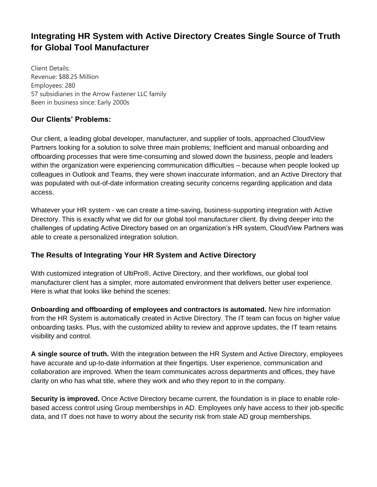## **Integrating HR System with Active Directory Creates Single Source of Truth for Global Tool Manufacturer**

Client Details: Revenue: \$88.25 Million Employees: 280 57 subsidiaries in the Arrow Fastener LLC family Been in business since: Early 2000s

## **Our Clients' Problems:**

Our client, a leading global developer, manufacturer, and supplier of tools, approached CloudView Partners looking for a solution to solve three main problems; Inefficient and manual onboarding and offboarding processes that were time-consuming and slowed down the business, people and leaders within the organization were experiencing communication difficulties – because when people looked up colleagues in Outlook and Teams, they were shown inaccurate information, and an Active Directory that was populated with out-of-date information creating security concerns regarding application and data access.

Whatever your HR system - we can create a time-saving, business-supporting integration with Active Directory. This is exactly what we did for our global tool manufacturer client. By diving deeper into the challenges of updating Active Directory based on an organization's HR system, CloudView Partners was able to create a personalized integration solution.

## **The Results of Integrating Your HR System and Active Directory**

With customized integration of UltiPro®, Active Directory, and their workflows, our global tool manufacturer client has a simpler, more automated environment that delivers better user experience. Here is what that looks like behind the scenes:

**Onboarding and offboarding of employees and contractors is automated.** New hire information from the HR System is automatically created in Active Directory. The IT team can focus on higher value onboarding tasks. Plus, with the customized ability to review and approve updates, the IT team retains visibility and control.

**A single source of truth.** With the integration between the HR System and Active Directory, employees have accurate and up-to-date information at their fingertips. User experience, communication and collaboration are improved. When the team communicates across departments and offices, they have clarity on who has what title, where they work and who they report to in the company.

**Security is improved.** Once Active Directory became current, the foundation is in place to enable rolebased access control using Group memberships in AD. Employees only have access to their job-specific data, and IT does not have to worry about the security risk from stale AD group memberships.